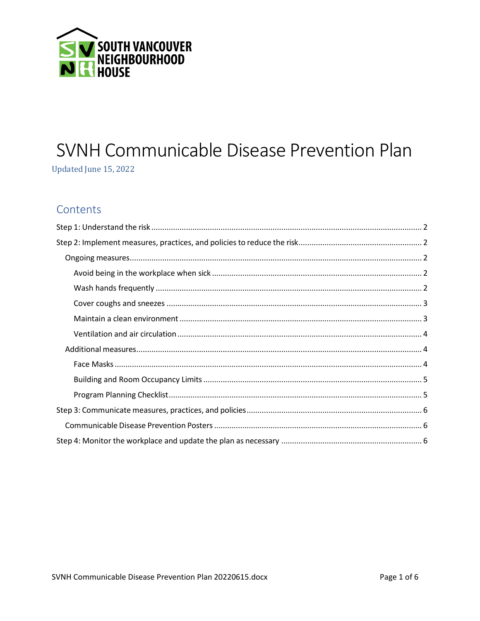

# SVNH Communicable Disease Prevention Plan

Updated June 15, 2022

# Contents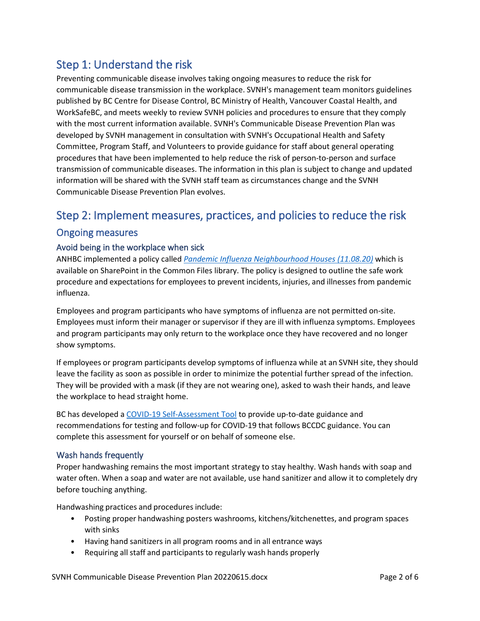# <span id="page-1-0"></span>Step 1: Understand the risk

Preventing communicable disease involves taking ongoing measures to reduce the risk for communicable disease transmission in the workplace. SVNH's management team monitors guidelines published by BC Centre for Disease Control, BC Ministry of Health, Vancouver Coastal Health, and WorkSafeBC, and meets weekly to review SVNH policies and procedures to ensure that they comply with the most current information available. SVNH's Communicable Disease Prevention Plan was developed by SVNH management in consultation with SVNH's Occupational Health and Safety Committee, Program Staff, and Volunteers to provide guidance for staff about general operating procedures that have been implemented to help reduce the risk of person-to-person and surface transmission of communicable diseases. The information in this plan is subject to change and updated information will be shared with the SVNH staff team as circumstances change and the SVNH Communicable Disease Prevention Plan evolves.

## <span id="page-1-1"></span>Step 2: Implement measures, practices, and policies to reduce the risk

### <span id="page-1-2"></span>Ongoing measures

### <span id="page-1-3"></span>Avoid being in the workplace when sick

ANHBC implemented a policy called *Pandemic Influenza Neighbourhood Houses (11.08.20)* which is available on SharePoint in the Common Files library. The policy is designed to outline the safe work procedure and expectations for employees to prevent incidents, injuries, and illnesses from pandemic influenza.

Employees and program participants who have symptoms of influenza are not permitted on-site. Employees must inform their manager or supervisor if they are ill with influenza symptoms. Employees and program participants may only return to the workplace once they have recovered and no longer show symptoms.

If employees or program participants develop symptoms of influenza while at an SVNH site, they should leave the facility as soon as possible in order to minimize the potential further spread of the infection. They will be provided with a mask (if they are not wearing one), asked to wash their hands, and leave the workplace to head straight home.

BC has developed [a COVID-19 Self-Assessment Tool](https://bc.thrive.health/covid19/en) to provide up-to-date guidance and recommendations for testing and follow-up for COVID-19 that follows BCCDC guidance. You can complete this assessment for yourself or on behalf of someone else.

### <span id="page-1-4"></span>Wash hands frequently

Proper handwashing remains the most important strategy to stay healthy. Wash hands with soap and water often. When a soap and water are not available, use hand sanitizer and allow it to completely dry before touching anything.

Handwashing practices and procedures include:

- Posting proper handwashing posters washrooms, kitchens/kitchenettes, and program spaces with sinks
- Having hand sanitizers in all program rooms and in all entrance ways
- Requiring all staff and participants to regularly wash hands properly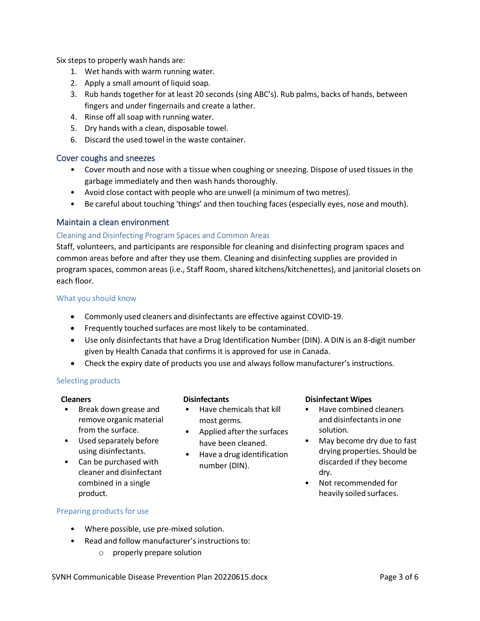Six steps to properly wash hands are:

- 1. Wet hands with warm running water.
- 2. Apply a small amount of liquid soap.
- 3. Rub hands together for at least 20 seconds (sing ABC's). Rub palms, backs of hands, between fingers and under fingernails and create a lather.
- 4. Rinse off all soap with running water.
- 5. Dry hands with a clean, disposable towel.
- 6. Discard the used towel in the waste container.

### <span id="page-2-0"></span>Cover coughs and sneezes

- Cover mouth and nose with a tissue when coughing or sneezing. Dispose of used tissues in the garbage immediately and then wash hands thoroughly.
- Avoid close contact with people who are unwell (a minimum of two metres).
- Be careful about touching 'things' and then touching faces (especially eyes, nose and mouth).

### <span id="page-2-1"></span>Maintain a clean environment

### Cleaning and Disinfecting Program Spaces and Common Areas

Staff, volunteers, and participants are responsible for cleaning and disinfecting program spaces and common areas before and after they use them. Cleaning and disinfecting supplies are provided in program spaces, common areas (i.e., Staff Room, shared kitchens/kitchenettes), and janitorial closets on each floor.

### What you should know

- Commonly used cleaners and disinfectants are effective against COVID-19.
- Frequently touched surfaces are most likely to be contaminated.
- Use only disinfectants that have a Drug Identification Number (DIN). A DIN is an 8-digit number given by Health Canada that confirms it is approved for use in Canada.
- Check the expiry date of products you use and always follow manufacturer's instructions.

### Selecting products

- Break down grease and remove organic material from the surface.
- Used separately before using disinfectants.
- Can be purchased with cleaner and disinfectant combined in a single product.

- Have chemicals that kill most germs.
- Applied after the surfaces have been cleaned.
- Have a drug identification number (DIN).

### **Cleaners Disinfectants Disinfectant Wipes**

- Have combined cleaners and disinfectants in one solution.
- May become dry due to fast drying properties. Should be discarded if they become dry.
- Not recommended for heavily soiled surfaces.

### Preparing products for use

- Where possible, use pre-mixed solution.
- Read and follow manufacturer's instructions to:
	- o properly prepare solution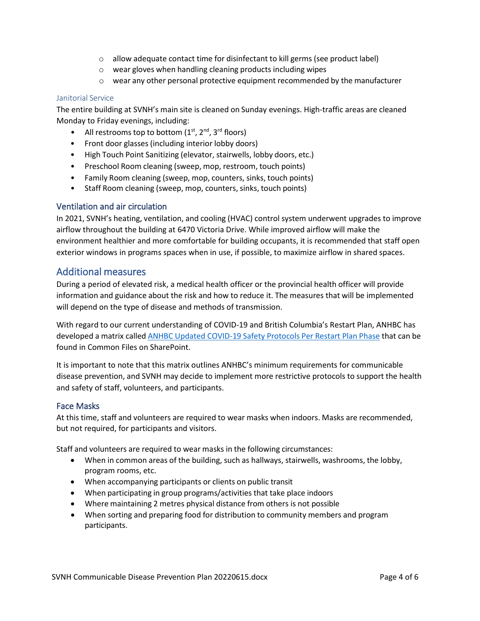- o allow adequate contact time for disinfectant to kill germs (see product label)
- o wear gloves when handling cleaning products including wipes
- $\circ$  wear any other personal protective equipment recommended by the manufacturer

### Janitorial Service

The entire building at SVNH's main site is cleaned on Sunday evenings. High-traffic areas are cleaned Monday to Friday evenings, including:

- All restrooms top to bottom  $(1<sup>st</sup>, 2<sup>nd</sup>, 3<sup>rd</sup>$  floors)
- Front door glasses (including interior lobby doors)
- High Touch Point Sanitizing (elevator, stairwells, lobby doors, etc.)
- Preschool Room cleaning (sweep, mop, restroom, touch points)
- Family Room cleaning (sweep, mop, counters, sinks, touch points)
- Staff Room cleaning (sweep, mop, counters, sinks, touch points)

### <span id="page-3-0"></span>Ventilation and air circulation

In 2021, SVNH's heating, ventilation, and cooling (HVAC) control system underwent upgrades to improve airflow throughout the building at 6470 Victoria Drive. While improved airflow will make the environment healthier and more comfortable for building occupants, it is recommended that staff open exterior windows in programs spaces when in use, if possible, to maximize airflow in shared spaces.

### <span id="page-3-1"></span>Additional measures

During a period of elevated risk, a medical health officer or the provincial health officer will provide information and guidance about the risk and how to reduce it. The measures that will be implemented will depend on the type of disease and methods of transmission.

With regard to our current understanding of COVID-19 and British Columbia's Restart Plan, ANHBC has developed a matrix called ANHBC Updated COVID-19 Safety Protocols Per Restart Plan Phase that can be found in Common Files on SharePoint.

It is important to note that this matrix outlines ANHBC's minimum requirements for communicable disease prevention, and SVNH may decide to implement more restrictive protocols to support the health and safety of staff, volunteers, and participants.

### <span id="page-3-2"></span>Face Masks

At this time, staff and volunteers are required to wear masks when indoors. Masks are recommended, but not required, for participants and visitors.

Staff and volunteers are required to wear masks in the following circumstances:

- When in common areas of the building, such as hallways, stairwells, washrooms, the lobby, program rooms, etc.
- When accompanying participants or clients on public transit
- When participating in group programs/activities that take place indoors
- Where maintaining 2 metres physical distance from others is not possible
- When sorting and preparing food for distribution to community members and program participants.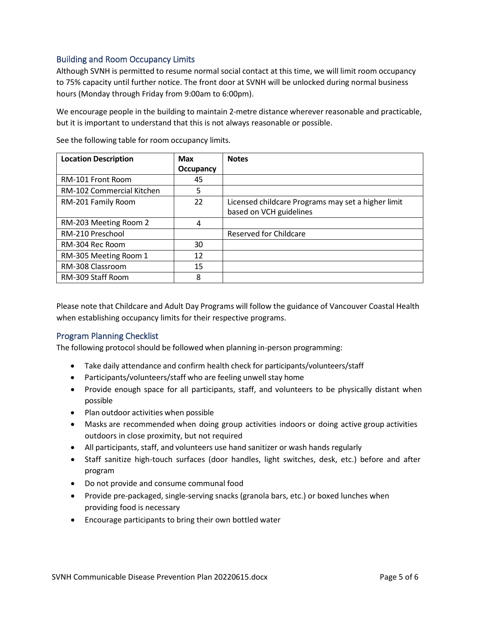### <span id="page-4-0"></span>Building and Room Occupancy Limits

Although SVNH is permitted to resume normal social contact at this time, we will limit room occupancy to 75% capacity until further notice. The front door at SVNH will be unlocked during normal business hours (Monday through Friday from 9:00am to 6:00pm).

We encourage people in the building to maintain 2-metre distance wherever reasonable and practicable, but it is important to understand that this is not always reasonable or possible.

| <b>Location Description</b> | <b>Max</b>       | <b>Notes</b>                                       |
|-----------------------------|------------------|----------------------------------------------------|
|                             | <b>Occupancy</b> |                                                    |
| RM-101 Front Room           | 45               |                                                    |
| RM-102 Commercial Kitchen   | 5                |                                                    |
| RM-201 Family Room          | 22               | Licensed childcare Programs may set a higher limit |
|                             |                  | based on VCH guidelines                            |
| RM-203 Meeting Room 2       | 4                |                                                    |
| RM-210 Preschool            |                  | Reserved for Childcare                             |
| RM-304 Rec Room             | 30               |                                                    |
| RM-305 Meeting Room 1       | 12               |                                                    |
| RM-308 Classroom            | 15               |                                                    |
| RM-309 Staff Room           | 8                |                                                    |

See the following table for room occupancy limits.

Please note that Childcare and Adult Day Programs will follow the guidance of Vancouver Coastal Health when establishing occupancy limits for their respective programs.

### <span id="page-4-1"></span>Program Planning Checklist

The following protocol should be followed when planning in-person programming:

- Take daily attendance and confirm health check for participants/volunteers/staff
- Participants/volunteers/staff who are feeling unwell stay home
- Provide enough space for all participants, staff, and volunteers to be physically distant when possible
- Plan outdoor activities when possible
- Masks are recommended when doing group activities indoors or doing active group activities outdoors in close proximity, but not required
- All participants, staff, and volunteers use hand sanitizer or wash hands regularly
- Staff sanitize high-touch surfaces (door handles, light switches, desk, etc.) before and after program
- Do not provide and consume communal food
- Provide pre-packaged, single-serving snacks (granola bars, etc.) or boxed lunches when providing food is necessary
- Encourage participants to bring their own bottled water